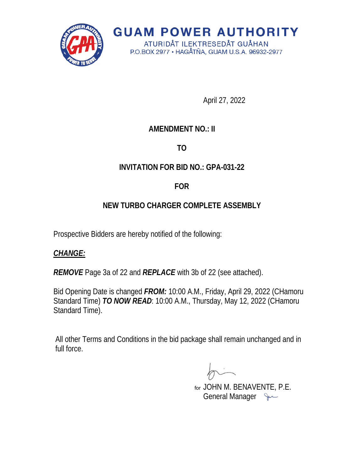

**GUAM POWER AUTHORITY** ATURIDÅT ILEKTRESEDÅT GUÅHAN

P.O.BOX 2977 · HAGÅTÑA, GUAM U.S.A. 96932-2977

April 27, 2022

#### **AMENDMENT NO.: II**

**TO** 

## **INVITATION FOR BID NO.: GPA-031-22**

## **FOR**

# **NEW TURBO CHARGER COMPLETE ASSEMBLY**

Prospective Bidders are hereby notified of the following:

#### *CHANGE:*

*REMOVE* Page 3a of 22 and *REPLACE* with 3b of 22 (see attached).

Bid Opening Date is changed *FROM:* 10:00 A.M., Friday, April 29, 2022 (CHamoru Standard Time) *TO NOW READ*: 10:00 A.M., Thursday, May 12, 2022 (CHamoru Standard Time).

All other Terms and Conditions in the bid package shall remain unchanged and in full force.

 JOHN M. BENAVENTE, P.E. forGeneral Manager